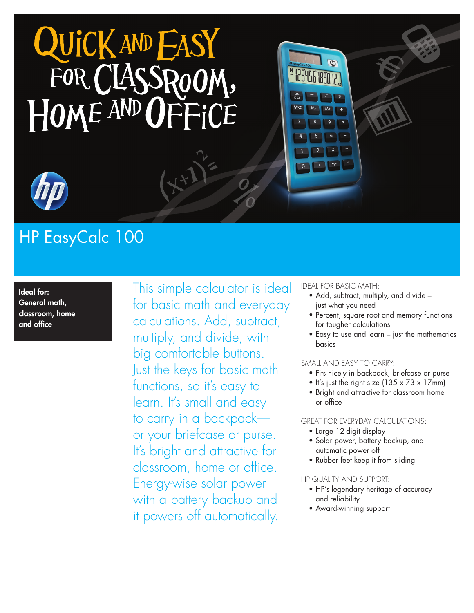



# HP EasyCalc 100

Ideal for: General math, classroom, home and office

This simple calculator is ideal for basic math and everyday calculations. Add, subtract, multiply, and divide, with big comfortable buttons. Just the keys for basic math functions, so it's easy to learn. It's small and easy to carry in a backpack or your briefcase or purse. It's bright and attractive for classroom, home or office. Energy-wise solar power with a battery backup and it powers off automatically.

#### Ideal for basic math:

- Add, subtract, multiply, and divide - just what you need
- • Percent, square root and memory functions for tougher calculations
- • Easy to use and learn just the mathematics basics

#### Small and easy to carry:

- • Fits nicely in backpack, briefcase or purse
- It's just the right size (135  $\times$  73  $\times$  17mm)
- • Bright and attractive for classroom home or office

#### Great for everyday calculations:

- Large 12-digit display
- • Solar power, battery backup, and automatic power off
- Rubber feet keep it from sliding

#### HP quality and support:

- • HP's legendary heritage of accuracy and reliability
- Award-winning support